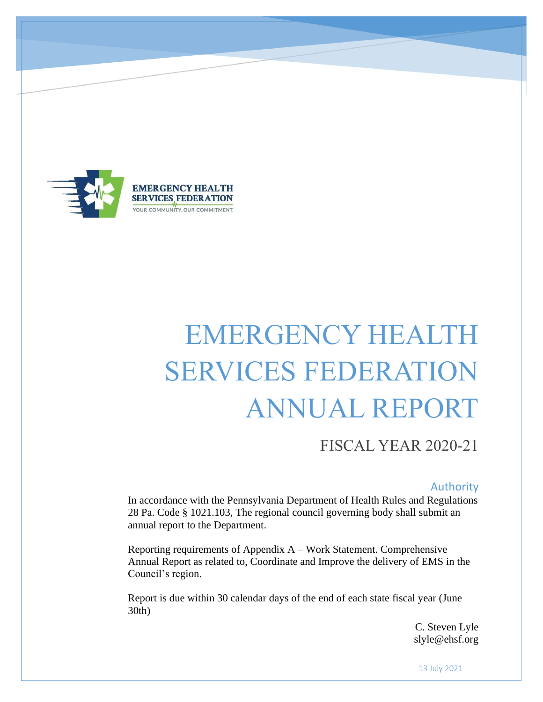

# EMERGENCY HEALTH SERVICES FEDERATION ANNUAL REPORT

# FISCAL YEAR 2020-21

## Authority

In accordance with the Pennsylvania Department of Health Rules and Regulations 28 Pa. Code § 1021.103, The regional council governing body shall submit an annual report to the Department.

Reporting requirements of Appendix A – Work Statement. Comprehensive Annual Report as related to, Coordinate and Improve the delivery of EMS in the Council's region.

Report is due within 30 calendar days of the end of each state fiscal year (June 30th)

> C. Steven Lyle slyle@ehsf.org

13 July 2021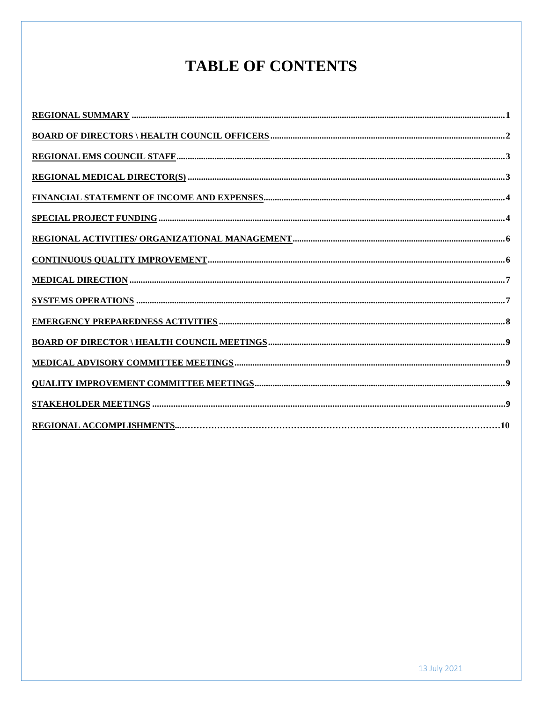# **TABLE OF CONTENTS**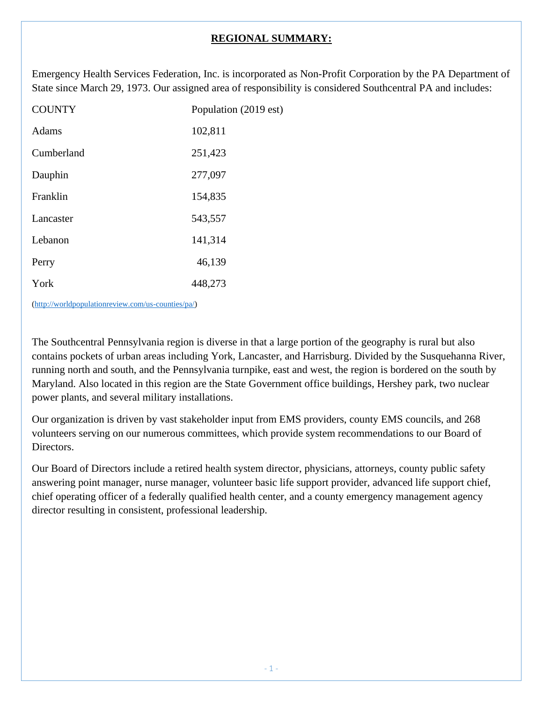# **REGIONAL SUMMARY:**

<span id="page-2-0"></span>Emergency Health Services Federation, Inc. is incorporated as Non-Profit Corporation by the PA Department of State since March 29, 1973. Our assigned area of responsibility is considered Southcentral PA and includes:

| <b>COUNTY</b> | Population (2019 est) |
|---------------|-----------------------|
| <b>Adams</b>  | 102,811               |
| Cumberland    | 251,423               |
| Dauphin       | 277,097               |
| Franklin      | 154,835               |
| Lancaster     | 543,557               |
| Lebanon       | 141,314               |
| Perry         | 46,139                |
| York          | 448,273               |
|               |                       |

[\(http://worldpopulationreview.com/us-counties/pa/\)](http://worldpopulationreview.com/us-counties/pa/)

The Southcentral Pennsylvania region is diverse in that a large portion of the geography is rural but also contains pockets of urban areas including York, Lancaster, and Harrisburg. Divided by the Susquehanna River, running north and south, and the Pennsylvania turnpike, east and west, the region is bordered on the south by Maryland. Also located in this region are the State Government office buildings, Hershey park, two nuclear power plants, and several military installations.

Our organization is driven by vast stakeholder input from EMS providers, county EMS councils, and 268 volunteers serving on our numerous committees, which provide system recommendations to our Board of Directors.

Our Board of Directors include a retired health system director, physicians, attorneys, county public safety answering point manager, nurse manager, volunteer basic life support provider, advanced life support chief, chief operating officer of a federally qualified health center, and a county emergency management agency director resulting in consistent, professional leadership.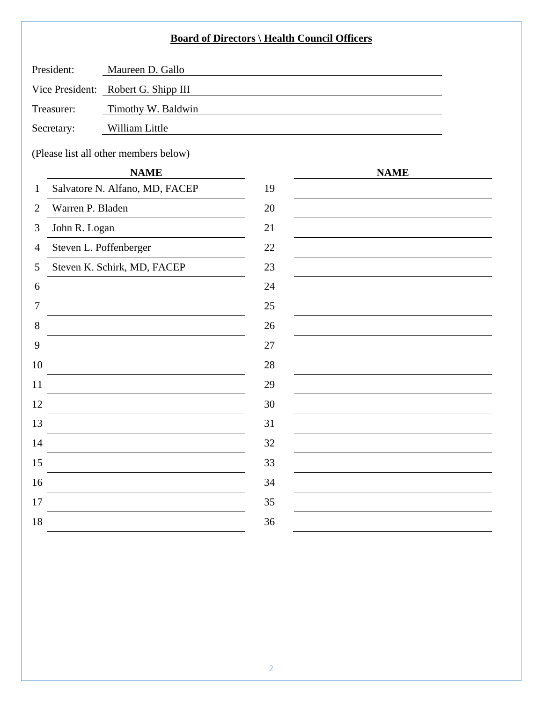## **Board of Directors \ Health Council Officers**

<span id="page-3-0"></span>

| President: | Maureen D. Gallo                      |
|------------|---------------------------------------|
|            | Vice President: Robert G. Shipp III   |
| Treasurer: | Timothy W. Baldwin                    |
| Secretary: | William Little                        |
|            | (Please list all other members below) |

## **NAME NAME**

| $\mathbf{1}$   | Salvatore N. Alfano, MD, FACEP | 19 |
|----------------|--------------------------------|----|
| $\overline{2}$ | Warren P. Bladen               | 20 |
| 3              | John R. Logan                  | 21 |
| 4              | Steven L. Poffenberger         | 22 |
| 5              | Steven K. Schirk, MD, FACEP    | 23 |
| 6              |                                | 24 |
| 7              |                                | 25 |
| 8              |                                | 26 |
| 9              |                                | 27 |
| 10             |                                | 28 |
| 11             |                                | 29 |
| 12             |                                | 30 |
| 13             |                                | 31 |
| 14             |                                | 32 |
| 15             |                                | 33 |
| 16             |                                | 34 |
| 17             |                                | 35 |
| 18             |                                | 36 |
|                |                                |    |

| <b>NAME</b> |
|-------------|
|             |
|             |
|             |
|             |
|             |
|             |
|             |
|             |
|             |
|             |
|             |
|             |
|             |
|             |
|             |
|             |
|             |
|             |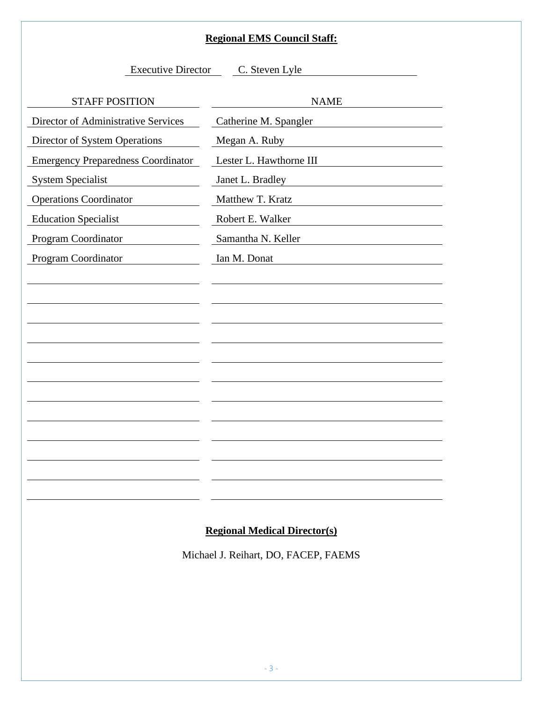# **Regional EMS Council Staff:**

Executive Director C. Steven Lyle

<span id="page-4-0"></span>

| <b>STAFF POSITION</b>                     | <b>NAME</b>             |
|-------------------------------------------|-------------------------|
| Director of Administrative Services       | Catherine M. Spangler   |
| <b>Director of System Operations</b>      | Megan A. Ruby           |
| <b>Emergency Preparedness Coordinator</b> | Lester L. Hawthorne III |
| <b>System Specialist</b>                  | Janet L. Bradley        |
| <b>Operations Coordinator</b>             | Matthew T. Kratz        |
| <b>Education Specialist</b>               | Robert E. Walker        |
| Program Coordinator                       | Samantha N. Keller      |
| Program Coordinator                       | Ian M. Donat            |
|                                           |                         |
|                                           |                         |
|                                           |                         |
|                                           |                         |
|                                           |                         |
|                                           |                         |
|                                           |                         |
|                                           |                         |
|                                           |                         |
|                                           |                         |
|                                           |                         |
|                                           |                         |
|                                           |                         |

**Regional Medical Director(s)**

<span id="page-4-1"></span>Michael J. Reihart, DO, FACEP, FAEMS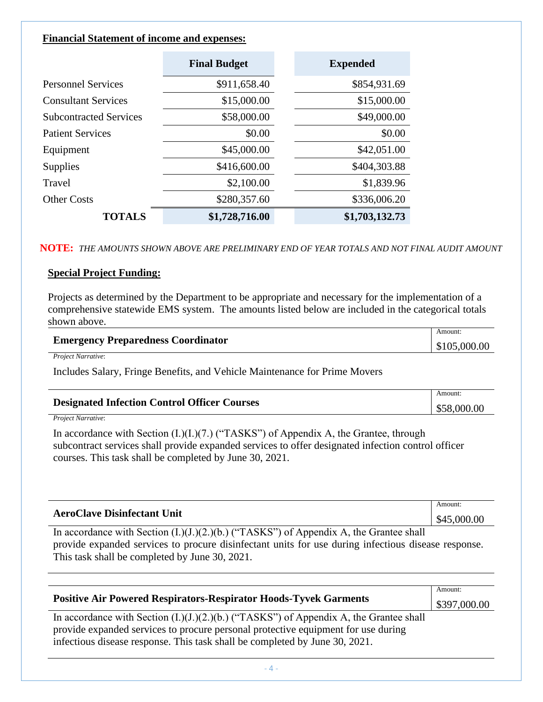#### <span id="page-5-0"></span> **Financial Statement of income and expenses:**

|                               | <b>Final Budget</b> | <b>Expended</b> |
|-------------------------------|---------------------|-----------------|
| <b>Personnel Services</b>     | \$911,658.40        | \$854,931.69    |
| <b>Consultant Services</b>    | \$15,000.00         | \$15,000.00     |
| <b>Subcontracted Services</b> | \$58,000.00         | \$49,000.00     |
| <b>Patient Services</b>       | \$0.00              | \$0.00          |
| Equipment                     | \$45,000.00         | \$42,051.00     |
| <b>Supplies</b>               | \$416,600.00        | \$404,303.88    |
| Travel                        | \$2,100.00          | \$1,839.96      |
| <b>Other Costs</b>            | \$280,357.60        | \$336,006.20    |
| <b>TOTALS</b>                 | \$1,728,716.00      | \$1,703,132.73  |

**NOTE:** *THE AMOUNTS SHOWN ABOVE ARE PRELIMINARY END OF YEAR TOTALS AND NOT FINAL AUDIT AMOUNT*

#### <span id="page-5-1"></span> **Special Project Funding:**

Projects as determined by the Department to be appropriate and necessary for the implementation of a comprehensive statewide EMS system. The amounts listed below are included in the categorical totals shown above.

|                                           | Amount:      |
|-------------------------------------------|--------------|
| <b>Emergency Preparedness Coordinator</b> | \$105,000.00 |

*Project Narrative*:

Includes Salary, Fringe Benefits, and Vehicle Maintenance for Prime Movers

| <b>Designated Infection Control Officer Courses</b> | Amount.     |
|-----------------------------------------------------|-------------|
|                                                     | \$58,000.00 |
| $\sim$ $\sim$ $\sim$ $\sim$ $\sim$ $\sim$ $\sim$    |             |

*Project Narrative*:

In accordance with Section (I.)(I.)(7.) ("TASKS") of Appendix A, the Grantee, through subcontract services shall provide expanded services to offer designated infection control officer courses. This task shall be completed by June 30, 2021.

| <b>AeroClave Disinfectant Unit</b>                                                     | Amount:<br>\$45,000.00 |
|----------------------------------------------------------------------------------------|------------------------|
| In accordance with Section $(L)(L)(2.(b.))$ ("TASKS") of Appendix A, the Grantee shall |                        |

provide expanded services to procure disinfectant units for use during infectious disease response. This task shall be completed by June 30, 2021.

| <b>Positive Air Powered Respirators-Respirator Hoods-Tyvek Garments</b>                | Amount:<br>\$397,000.00 |
|----------------------------------------------------------------------------------------|-------------------------|
| In accordance with Section $(L)(L)(2.)(b.)$ ("TASKS") of Appendix A, the Grantee shall |                         |
| provide expanded services to procure personal protective equipment for use during      |                         |
| infectious disease response. This task shall be completed by June 30, 2021.            |                         |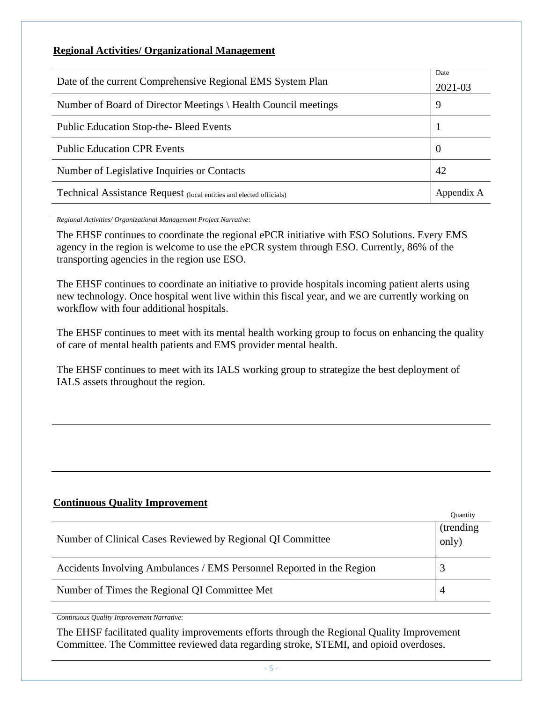# <span id="page-6-0"></span> **Regional Activities/ Organizational Management**

| Date of the current Comprehensive Regional EMS System Plan          | Date<br>2021-03 |
|---------------------------------------------------------------------|-----------------|
| Number of Board of Director Meetings \ Health Council meetings      | 9               |
| <b>Public Education Stop-the-Bleed Events</b>                       |                 |
| <b>Public Education CPR Events</b>                                  | $\theta$        |
| Number of Legislative Inquiries or Contacts                         | 42              |
| Technical Assistance Request (local entities and elected officials) | Appendix A      |

*Regional Activities/ Organizational Management Project Narrative*:

The EHSF continues to coordinate the regional ePCR initiative with ESO Solutions. Every EMS agency in the region is welcome to use the ePCR system through ESO. Currently, 86% of the transporting agencies in the region use ESO.

The EHSF continues to coordinate an initiative to provide hospitals incoming patient alerts using new technology. Once hospital went live within this fiscal year, and we are currently working on workflow with four additional hospitals.

The EHSF continues to meet with its mental health working group to focus on enhancing the quality of care of mental health patients and EMS provider mental health.

The EHSF continues to meet with its IALS working group to strategize the best deployment of IALS assets throughout the region.

# <span id="page-6-1"></span> **Continuous Quality Improvement**

|                                                                       | Ouantity            |
|-----------------------------------------------------------------------|---------------------|
| Number of Clinical Cases Reviewed by Regional QI Committee            | (trending)<br>only) |
| Accidents Involving Ambulances / EMS Personnel Reported in the Region |                     |
| Number of Times the Regional QI Committee Met                         | 4                   |

*Continuous Quality Improvement Narrative*:

The EHSF facilitated quality improvements efforts through the Regional Quality Improvement Committee. The Committee reviewed data regarding stroke, STEMI, and opioid overdoses.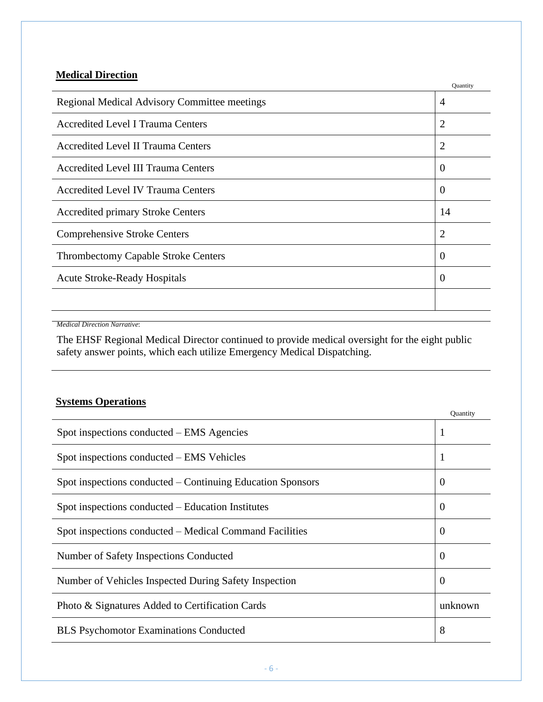# <span id="page-7-0"></span> **Medical Direction**

| <b>Regional Medical Advisory Committee meetings</b><br>$\overline{4}$<br><b>Accredited Level I Trauma Centers</b><br>$\overline{2}$<br><b>Accredited Level II Trauma Centers</b><br>2<br><b>Accredited Level III Trauma Centers</b><br>$\theta$<br>$\boldsymbol{0}$<br><b>Accredited Level IV Trauma Centers</b><br>14<br><b>Accredited primary Stroke Centers</b> |                                     | Quantity |  |
|--------------------------------------------------------------------------------------------------------------------------------------------------------------------------------------------------------------------------------------------------------------------------------------------------------------------------------------------------------------------|-------------------------------------|----------|--|
|                                                                                                                                                                                                                                                                                                                                                                    |                                     |          |  |
|                                                                                                                                                                                                                                                                                                                                                                    |                                     |          |  |
|                                                                                                                                                                                                                                                                                                                                                                    |                                     |          |  |
|                                                                                                                                                                                                                                                                                                                                                                    |                                     |          |  |
|                                                                                                                                                                                                                                                                                                                                                                    |                                     |          |  |
|                                                                                                                                                                                                                                                                                                                                                                    |                                     |          |  |
|                                                                                                                                                                                                                                                                                                                                                                    | <b>Comprehensive Stroke Centers</b> | 2        |  |
| <b>Thrombectomy Capable Stroke Centers</b><br>$\theta$                                                                                                                                                                                                                                                                                                             |                                     |          |  |
| $\theta$<br><b>Acute Stroke-Ready Hospitals</b>                                                                                                                                                                                                                                                                                                                    |                                     |          |  |
|                                                                                                                                                                                                                                                                                                                                                                    |                                     |          |  |

*Medical Direction Narrative*:

The EHSF Regional Medical Director continued to provide medical oversight for the eight public safety answer points, which each utilize Emergency Medical Dispatching.

# <span id="page-7-1"></span> **Systems Operations**

|                                                            | Quantity         |
|------------------------------------------------------------|------------------|
| Spot inspections conducted – EMS Agencies                  | 1                |
| Spot inspections conducted – EMS Vehicles                  |                  |
| Spot inspections conducted – Continuing Education Sponsors | $\boldsymbol{0}$ |
| Spot inspections conducted – Education Institutes          | $\boldsymbol{0}$ |
| Spot inspections conducted – Medical Command Facilities    | $\Omega$         |
| Number of Safety Inspections Conducted                     | $\overline{0}$   |
| Number of Vehicles Inspected During Safety Inspection      | $\boldsymbol{0}$ |
| Photo & Signatures Added to Certification Cards            | unknown          |
| <b>BLS Psychomotor Examinations Conducted</b>              | 8                |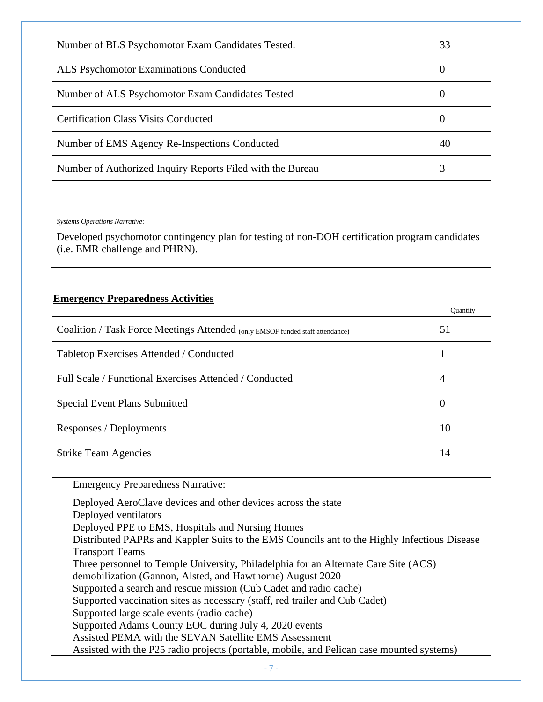| Number of BLS Psychomotor Exam Candidates Tested.          |          |  |
|------------------------------------------------------------|----------|--|
| ALS Psychomotor Examinations Conducted                     |          |  |
| Number of ALS Psychomotor Exam Candidates Tested           | $\theta$ |  |
| <b>Certification Class Visits Conducted</b>                |          |  |
| Number of EMS Agency Re-Inspections Conducted              | 40       |  |
| Number of Authorized Inquiry Reports Filed with the Bureau |          |  |
|                                                            |          |  |

*Systems Operations Narrative*:

Developed psychomotor contingency plan for testing of non-DOH certification program candidates (i.e. EMR challenge and PHRN).

### <span id="page-8-0"></span> **Emergency Preparedness Activities**

|                                                                               | Ouantity       |
|-------------------------------------------------------------------------------|----------------|
| Coalition / Task Force Meetings Attended (only EMSOF funded staff attendance) | 51             |
| Tabletop Exercises Attended / Conducted                                       | -1             |
| Full Scale / Functional Exercises Attended / Conducted                        | 4              |
| <b>Special Event Plans Submitted</b>                                          | $\overline{0}$ |
| Responses / Deployments                                                       | 10             |
| <b>Strike Team Agencies</b>                                                   | 14             |

Emergency Preparedness Narrative:

Deployed AeroClave devices and other devices across the state Deployed ventilators Deployed PPE to EMS, Hospitals and Nursing Homes Distributed PAPRs and Kappler Suits to the EMS Councils ant to the Highly Infectious Disease Transport Teams Three personnel to Temple University, Philadelphia for an Alternate Care Site (ACS) demobilization (Gannon, Alsted, and Hawthorne) August 2020 Supported a search and rescue mission (Cub Cadet and radio cache) Supported vaccination sites as necessary (staff, red trailer and Cub Cadet) Supported large scale events (radio cache) Supported Adams County EOC during July 4, 2020 events Assisted PEMA with the SEVAN Satellite EMS Assessment Assisted with the P25 radio projects (portable, mobile, and Pelican case mounted systems)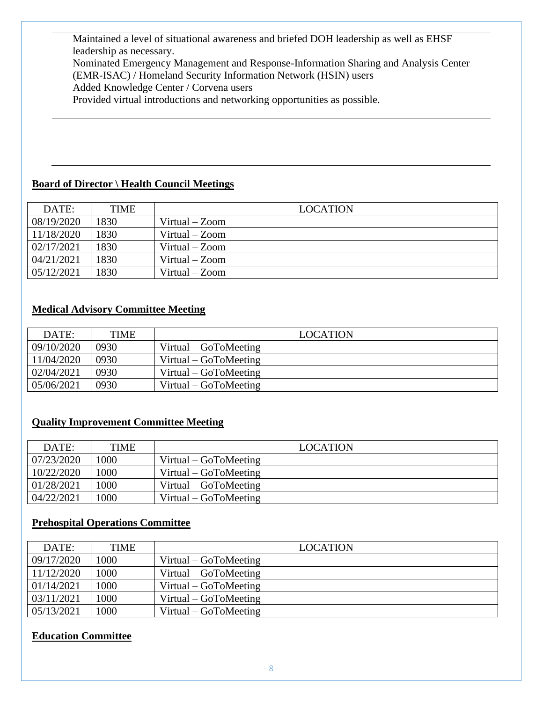Maintained a level of situational awareness and briefed DOH leadership as well as EHSF leadership as necessary.

Nominated Emergency Management and Response-Information Sharing and Analysis Center (EMR-ISAC) / Homeland Security Information Network (HSIN) users Added Knowledge Center / Corvena users

Provided virtual introductions and networking opportunities as possible.

# <span id="page-9-0"></span>**Board of Director \ Health Council Meetings**

| DATE:      | <b>TIME</b> | <b>LOCATION</b>  |
|------------|-------------|------------------|
| 08/19/2020 | 1830        | Virtual – Zoom   |
| 11/18/2020 | 1830        | Virtual – Zoom   |
| 02/17/2021 | 1830        | Virtual – Zoom   |
| 04/21/2021 | 1830        | Virtual – Zoom   |
| 05/12/2021 | 1830        | Virtual – $Zoom$ |

# <span id="page-9-1"></span>**Medical Advisory Committee Meeting**

| DATE:      | <b>TIME</b> | <b>LOCATION</b>          |
|------------|-------------|--------------------------|
| 09/10/2020 | 0930        | Virtual – $GoTo Meeting$ |
| 11/04/2020 | 0930        | Virtual – $GoTo Meeting$ |
| 02/04/2021 | 0930        | Virtual – $GoToMecting$  |
| 05/06/2021 | 0930        | Virtual – $GoTo Meeting$ |

# <span id="page-9-2"></span>**Quality Improvement Committee Meeting**

| DATE:      | <b>TIME</b> | <b>LOCATION</b>          |
|------------|-------------|--------------------------|
| 07/23/2020 | .000        | Virtual – $GoTo Meeting$ |
| 10/22/2020 | 1000        | Virtual – $GoTo Meeting$ |
| 01/28/2021 | 1000        | Virtual – $GoTo Meeting$ |
| 04/22/2021 | 1000        | $Virtual - GoTo Meeting$ |

## **Prehospital Operations Committee**

| DATE:      | <b>TIME</b> | <b>LOCATION</b>       |
|------------|-------------|-----------------------|
| 09/17/2020 | 1000        | Virtual – GoToMeeting |
| 11/12/2020 | 1000        | Virtual – GoToMeeting |
| 01/14/2021 | 1000        | Virtual – GoToMeeting |
| 03/11/2021 | 1000        | Virtual – GoToMeeting |
| 05/13/2021 | 1000        | Virtual – GoToMeeting |

## **Education Committee**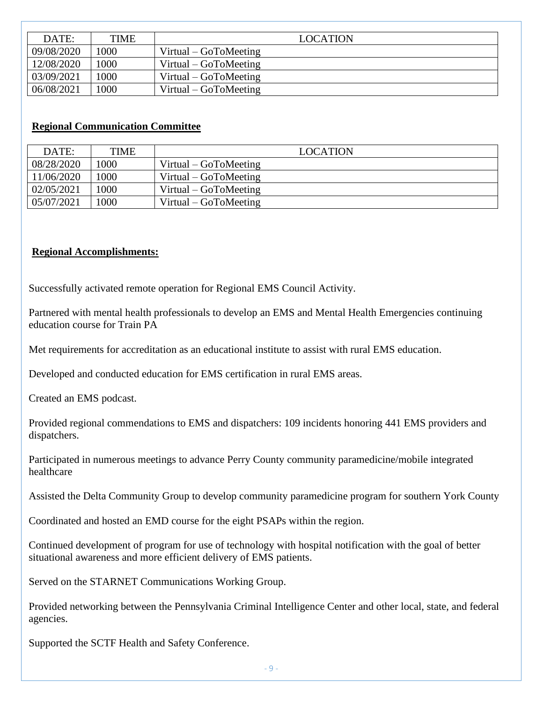| DATE:      | <b>TIME</b> | <b>LOCATION</b>          |
|------------|-------------|--------------------------|
| 09/08/2020 | 1000        | Virtual – GoToMeeting    |
| 12/08/2020 | 1000        | $Virtual - GoTo Meeting$ |
| 03/09/2021 | 1000        | $Virtual - GoTo Meeting$ |
| 06/08/2021 | 1000        | $Virtual - GoTo Meeting$ |

#### **Regional Communication Committee**

| DATE:      | <b>TIME</b> | <b>LOCATION</b>          |
|------------|-------------|--------------------------|
| 08/28/2020 | 1000        | Virtual – $GoTo Meeting$ |
| 11/06/2020 | 1000        | Virtual – $GoTo Meeting$ |
| 02/05/2021 | 1000        | Virtual – $GoTo Meeting$ |
| 05/07/2021 | 1000        | Virtual – $GoTo Meeting$ |

#### **Regional Accomplishments:**

Successfully activated remote operation for Regional EMS Council Activity.

Partnered with mental health professionals to develop an EMS and Mental Health Emergencies continuing education course for Train PA

Met requirements for accreditation as an educational institute to assist with rural EMS education.

Developed and conducted education for EMS certification in rural EMS areas.

Created an EMS podcast.

Provided regional commendations to EMS and dispatchers: 109 incidents honoring 441 EMS providers and dispatchers.

Participated in numerous meetings to advance Perry County community paramedicine/mobile integrated healthcare

Assisted the Delta Community Group to develop community paramedicine program for southern York County

Coordinated and hosted an EMD course for the eight PSAPs within the region.

Continued development of program for use of technology with hospital notification with the goal of better situational awareness and more efficient delivery of EMS patients.

Served on the STARNET Communications Working Group.

Provided networking between the Pennsylvania Criminal Intelligence Center and other local, state, and federal agencies.

Supported the SCTF Health and Safety Conference.